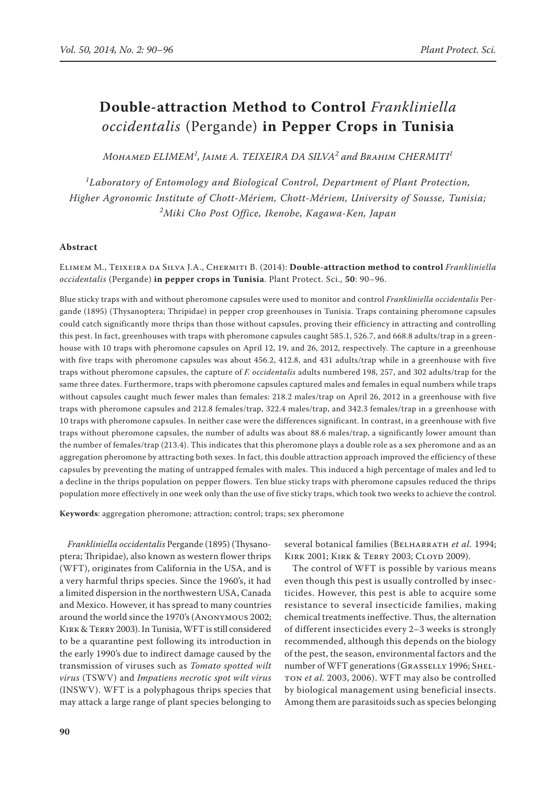# **Double-attraction Method to Control** *Frankliniella occidentalis* (Pergande) **in Pepper Crops in Tunisia**

 $M$ онамер ELIMEM $^1$ , Jaime A. TEIXEIRA DA SILVA $^2$  and Brahim CHERMITI $^1$ 

*1 Laboratory of Entomology and Biological Control, Department of Plant Protection, Higher Agronomic Institute of Chott-Mériem, Chott-Mériem, University of Sousse, Tunisia; 2 Miki Cho Post Office, Ikenobe, Kagawa-Ken, Japan*

## **Abstract**

Elimem M., Teixeira da Silva J.A., Chermiti B. (2014): **Double-attraction method to control** *Frankliniella occidentalis* (Pergande) **in pepper crops in Tunisia**. Plant Protect. Sci., **50**: 90–96.

Blue sticky traps with and without pheromone capsules were used to monitor and control *Frankliniella occidentalis* Pergande (1895) (Thysanoptera; Thripidae) in pepper crop greenhouses in Tunisia. Traps containing pheromone capsules could catch significantly more thrips than those without capsules, proving their efficiency in attracting and controlling this pest. In fact, greenhouses with traps with pheromone capsules caught 585.1, 526.7, and 668.8 adults/trap in a greenhouse with 10 traps with pheromone capsules on April 12, 19, and 26, 2012, respectively. The capture in a greenhouse with five traps with pheromone capsules was about 456.2, 412.8, and 431 adults/trap while in a greenhouse with five traps without pheromone capsules, the capture of *F. occidentalis* adults numbered 198, 257, and 302 adults/trap for the same three dates. Furthermore, traps with pheromone capsules captured males and females in equal numbers while traps without capsules caught much fewer males than females: 218.2 males/trap on April 26, 2012 in a greenhouse with five traps with pheromone capsules and 212.8 females/trap, 322.4 males/trap, and 342.3 females/trap in a greenhouse with 10 traps with pheromone capsules. In neither case were the differences significant. In contrast, in a greenhouse with five traps without pheromone capsules, the number of adults was about 88.6 males/trap, a significantly lower amount than the number of females/trap (213.4). This indicates that this pheromone plays a double role as a sex pheromone and as an aggregation pheromone by attracting both sexes. In fact, this double attraction approach improved the efficiency of these capsules by preventing the mating of untrapped females with males. This induced a high percentage of males and led to a decline in the thrips population on pepper flowers. Ten blue sticky traps with pheromone capsules reduced the thrips population more effectively in one week only than the use of five sticky traps, which took two weeks to achieve the control.

**Keywords**: aggregation pheromone; attraction; control; traps; sex pheromone

*Frankliniella occidentalis* Pergande (1895) (Thysanoptera; Thripidae), also known as western flower thrips (WFT), originates from California in the USA, and is a very harmful thrips species. Since the 1960's, it had a limited dispersion in the northwestern USA, Canada and Mexico. However, it has spread to many countries around the world since the 1970's (Anonymous 2002; Kirk & Terry 2003). In Tunisia, WFT is still considered to be a quarantine pest following its introduction in the early 1990's due to indirect damage caused by the transmission of viruses such as *Tomato spotted wilt virus* (TSWV) and *Impatiens necrotic spot wilt virus* (INSWV). WFT is a polyphagous thrips species that may attack a large range of plant species belonging to

several botanical families (BELHARRATH et al. 1994; Kirk 2001; Kirk & Terry 2003; Cloyd 2009).

The control of WFT is possible by various means even though this pest is usually controlled by insecticides. However, this pest is able to acquire some resistance to several insecticide families, making chemical treatments ineffective. Thus, the alternation of different insecticides every 2–3 weeks is strongly recommended, although this depends on the biology of the pest, the season, environmental factors and the number of WFT generations (GRASSELLY 1996; SHELton *et al.* 2003, 2006). WFT may also be controlled by biological management using beneficial insects. Among them are parasitoids such as species belonging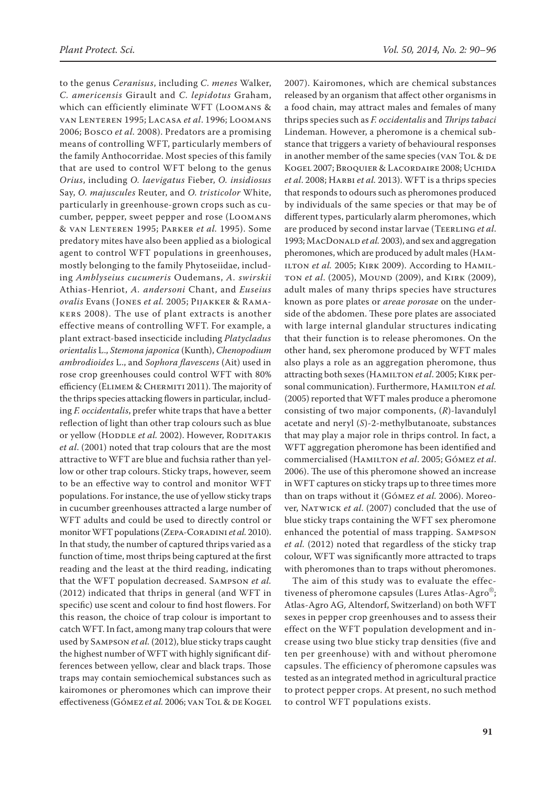to the genus *Ceranisus*, including *C. menes* Walker, *C. americensis* Girault and *C. lepidotus* Graham, which can efficiently eliminate WFT (Loomans & van Lenteren 1995; Lacasa *et al*. 1996; Loomans 2006; Bosco *et al.* 2008). Predators are a promising means of controlling WFT, particularly members of the family Anthocorridae. Most species of this family that are used to control WFT belong to the genus *Orius*, including *O. laevigatus* Fieber, *O. insidiosus*  Say, *O. majuscules* Reuter, and *O. tristicolor* White, particularly in greenhouse-grown crops such as cucumber, pepper, sweet pepper and rose (Loomans & van Lenteren 1995; Parker *et al.* 1995). Some predatory mites have also been applied as a biological agent to control WFT populations in greenhouses, mostly belonging to the family Phytoseiidae, including *Amblyseius cucumeris* Oudemans, *A. swirskii* Athias-Henriot, *A. andersoni* Chant, and *Euseius ovalis* Evans (Jones *et al.* 2005; Pijakker & Ramakers 2008). The use of plant extracts is another effective means of controlling WFT. For example, a plant extract-based insecticide including *Platycladus orientalis* L., *Stemona japonica* (Kunth), *Chenopodium ambrodioides* L., and *Sophora flavescens* (Ait) used in rose crop greenhouses could control WFT with 80% efficiency (ELIMEM & CHERMITI 2011). The majority of the thrips species attacking flowers in particular, including *F. occidentalis*, prefer white traps that have a better reflection of light than other trap colours such as blue or yellow (HODDLE et al. 2002). However, RODITAKIS *et al*. (2001) noted that trap colours that are the most attractive to WFT are blue and fuchsia rather than yellow or other trap colours. Sticky traps, however, seem to be an effective way to control and monitor WFT populations. For instance, the use of yellow sticky traps in cucumber greenhouses attracted a large number of WFT adults and could be used to directly control or monitor WFT populations (Zepa-Coradini *et al.* 2010). In that study, the number of captured thrips varied as a function of time, most thrips being captured at the first reading and the least at the third reading, indicating that the WFT population decreased. Sampson *et al.* (2012) indicated that thrips in general (and WFT in specific) use scent and colour to find host flowers. For this reason, the choice of trap colour is important to catch WFT. In fact, among many trap colours that were used by Sampson *et al.* (2012), blue sticky traps caught the highest number of WFT with highly significant differences between yellow, clear and black traps. Those traps may contain semiochemical substances such as kairomones or pheromones which can improve their effectiveness (Gómez et al. 2006; van Tol & de Kogel 2007). Kairomones, which are chemical substances released by an organism that affect other organisms in a food chain, may attract males and females of many thrips species such as *F. occidentalis* and *Thrips tabaci*  Lindeman. However, a pheromone is a chemical substance that triggers a variety of behavioural responses in another member of the same species (VAN TOL & DE Kogel 2007; Broquier & Lacordaire 2008; Uchida *et al*. 2008; Harbi *et al.* 2013). WFT is a thrips species that responds to odours such as pheromones produced by individuals of the same species or that may be of different types, particularly alarm pheromones, which are produced by second instar larvae (Teerling *et al*. 1993; MacDonald *et al.* 2003), and sex and aggregation pheromones, which are produced by adult males (Ham-ILTON et al. 2005; KIRK 2009). According to HAMILton *et al*. (2005), Mound (2009), and Kirk (2009), adult males of many thrips species have structures known as pore plates or *areae porosae* on the underside of the abdomen. These pore plates are associated with large internal glandular structures indicating that their function is to release pheromones. On the other hand, sex pheromone produced by WFT males also plays a role as an aggregation pheromone, thus attracting both sexes (Hamilton *et al*. 2005; Kirk personal communication). Furthermore, HAMILTON et al. (2005) reported that WFT males produce a pheromone consisting of two major components, (*R*)-lavandulyl acetate and neryl (*S*)-2-methylbutanoate, substances that may play a major role in thrips control. In fact, a WFT aggregation pheromone has been identified and commercialised (Hamilton *et al*. 2005; Gómez *et al*. 2006). The use of this pheromone showed an increase in WFT captures on sticky traps up to three times more than on traps without it (Gómez *et al.* 2006). Moreover, Natwick *et al*. (2007) concluded that the use of blue sticky traps containing the WFT sex pheromone enhanced the potential of mass trapping. Sampson *et al.* (2012) noted that regardless of the sticky trap colour, WFT was significantly more attracted to traps with pheromones than to traps without pheromones.

The aim of this study was to evaluate the effectiveness of pheromone capsules (Lures Atlas-Agro®; Atlas-Agro AG, Altendorf, Switzerland) on both WFT sexes in pepper crop greenhouses and to assess their effect on the WFT population development and increase using two blue sticky trap densities (five and ten per greenhouse) with and without pheromone capsules. The efficiency of pheromone capsules was tested as an integrated method in agricultural practice to protect pepper crops. At present, no such method to control WFT populations exists.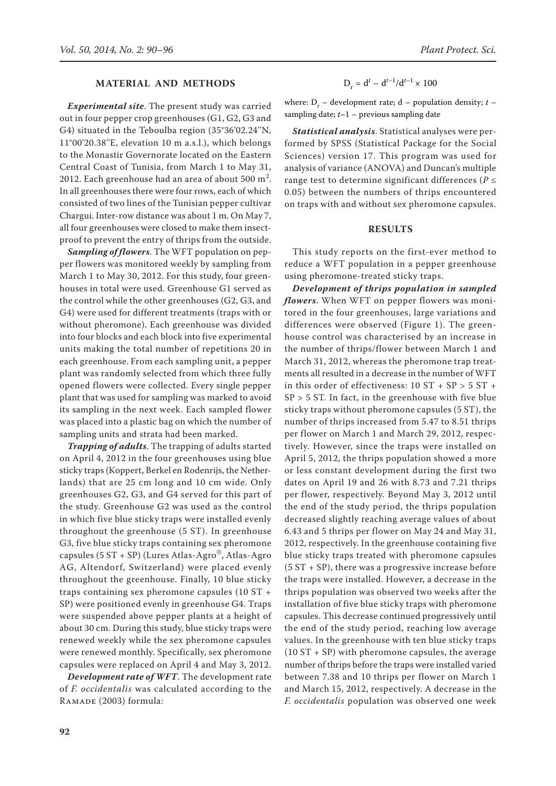## **Material and Methods**

*Experimental site*. The present study was carried out in four pepper crop greenhouses (G1, G2, G3 and G4) situated in the Teboulba region (35°36'02.24''N, 11°00'20.38''E, elevation 10 m a.s.l.), which belongs to the Monastir Governorate located on the Eastern Central Coast of Tunisia, from March 1 to May 31, 2012. Each greenhouse had an area of about  $500 \text{ m}^2$ . In all greenhouses there were four rows, each of which consisted of two lines of the Tunisian pepper cultivar Chargui. Inter-row distance was about 1 m. On May 7, all four greenhouses were closed to make them insectproof to prevent the entry of thrips from the outside.

*Sampling of flowers*. The WFT population on pepper flowers was monitored weekly by sampling from March 1 to May 30, 2012. For this study, four greenhouses in total were used. Greenhouse G1 served as the control while the other greenhouses (G2, G3, and G4) were used for different treatments (traps with or without pheromone). Each greenhouse was divided into four blocks and each block into five experimental units making the total number of repetitions 20 in each greenhouse. From each sampling unit, a pepper plant was randomly selected from which three fully opened flowers were collected. Every single pepper plant that was used for sampling was marked to avoid its sampling in the next week. Each sampled flower was placed into a plastic bag on which the number of sampling units and strata had been marked.

*Trapping of adults*. The trapping of adults started on April 4, 2012 in the four greenhouses using blue sticky traps (Koppert, Berkel en Rodenrijs, the Netherlands) that are 25 cm long and 10 cm wide. Only greenhouses G2, G3, and G4 served for this part of the study. Greenhouse G2 was used as the control in which five blue sticky traps were installed evenly throughout the greenhouse (5 ST). In greenhouse G3, five blue sticky traps containing sex pheromone capsules (5 ST + SP) (Lures Atlas-Agro®, Atlas-Agro AG, Altendorf, Switzerland) were placed evenly throughout the greenhouse. Finally, 10 blue sticky traps containing sex pheromone capsules (10 ST + SP) were positioned evenly in greenhouse G4. Traps were suspended above pepper plants at a height of about 30 cm. During this study, blue sticky traps were renewed weekly while the sex pheromone capsules were renewed monthly. Specifically, sex pheromone capsules were replaced on April 4 and May 3, 2012.

*Development rate of WFT*. The development rate of *F. occidentalis* was calculated according to the Ramade (2003) formula:

$$
D_r = d^t - d^{t-1}/d^{t-1} \times 100
$$

where:  $D_r$  – development rate;  $d$  – population density;  $t$  – sampling date; *t*–1 – previous sampling date

*Statistical analysis*. Statistical analyses were performed by SPSS (Statistical Package for the Social Sciences) version 17. This program was used for analysis of variance (ANOVA) and Duncan's multiple range test to determine significant differences (*P* ≤ 0.05) between the numbers of thrips encountered on traps with and without sex pheromone capsules.

## **Results**

This study reports on the first-ever method to reduce a WFT population in a pepper greenhouse using pheromone-treated sticky traps.

*Development of thrips population in sampled flowers*. When WFT on pepper flowers was monitored in the four greenhouses, large variations and differences were observed (Figure 1). The greenhouse control was characterised by an increase in the number of thrips/flower between March 1 and March 31, 2012, whereas the pheromone trap treatments all resulted in a decrease in the number of WFT in this order of effectiveness:  $10 ST + SP > 5 ST +$  $SP > 5$  ST. In fact, in the greenhouse with five blue sticky traps without pheromone capsules (5 ST), the number of thrips increased from 5.47 to 8.51 thrips per flower on March 1 and March 29, 2012, respectively. However, since the traps were installed on April 5, 2012, the thrips population showed a more or less constant development during the first two dates on April 19 and 26 with 8.73 and 7.21 thrips per flower, respectively. Beyond May 3, 2012 until the end of the study period, the thrips population decreased slightly reaching average values of about 6.43 and 5 thrips per flower on May 24 and May 31, 2012, respectively. In the greenhouse containing five blue sticky traps treated with pheromone capsules  $(5 ST + SP)$ , there was a progressive increase before the traps were installed. However, a decrease in the thrips population was observed two weeks after the installation of five blue sticky traps with pheromone capsules. This decrease continued progressively until the end of the study period, reaching low average values. In the greenhouse with ten blue sticky traps  $(10 ST + SP)$  with pheromone capsules, the average number of thrips before the traps were installed varied between 7.38 and 10 thrips per flower on March 1 and March 15, 2012, respectively. A decrease in the *F. occidentalis* population was observed one week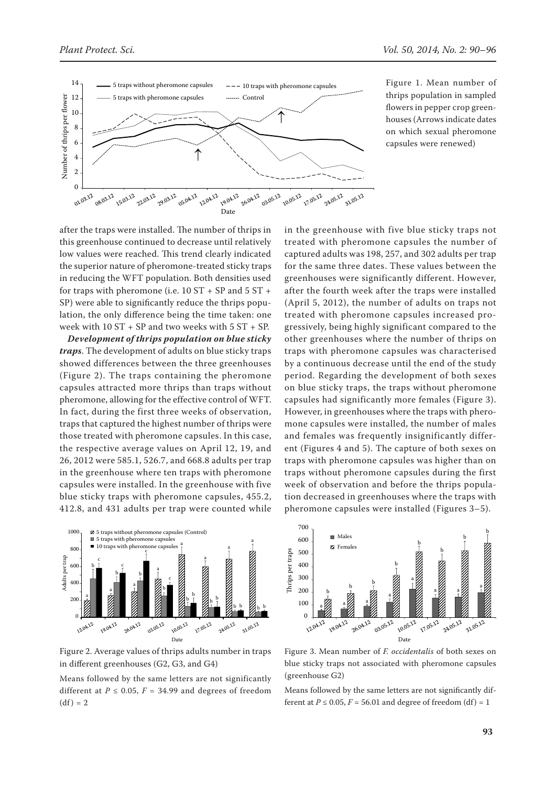



Figure 1. Mean number of thrips population in sampled flowers in pepper crop greenhouses (Arrows indicate dates on which sexual pheromone capsules were renewed)

after the traps were installed. The number of thrips in this greenhouse continued to decrease until relatively low values were reached. This trend clearly indicated the superior nature of pheromone-treated sticky traps in reducing the WFT population. Both densities used for traps with pheromone (i.e.  $10 ST + SP$  and  $5 ST +$ SP) were able to significantly reduce the thrips population, the only difference being the time taken: one week with 10 ST + SP and two weeks with 5 ST + SP.

*Development of thrips population on blue sticky traps*. The development of adults on blue sticky traps showed differences between the three greenhouses (Figure 2). The traps containing the pheromone capsules attracted more thrips than traps without pheromone, allowing for the effective control of WFT. In fact, during the first three weeks of observation, traps that captured the highest number of thrips were those treated with pheromone capsules. In this case, the respective average values on April 12, 19, and 26, 2012 were 585.1, 526.7, and 668.8 adults per trap in the greenhouse where ten traps with pheromone capsules were installed. In the greenhouse with five blue sticky traps with pheromone capsules, 455.2, 412.8, and 431 adults per trap were counted while



Figure 2. Average values of thrips adults number in traps in different greenhouses (G2, G3, and G4)

Means followed by the same letters are not significantly different at  $P \le 0.05$ ,  $F = 34.99$  and degrees of freedom  $(df) = 2$ 

in the greenhouse with five blue sticky traps not treated with pheromone capsules the number of captured adults was 198, 257, and 302 adults per trap for the same three dates. These values between the greenhouses were significantly different. However, after the fourth week after the traps were installed (April 5, 2012), the number of adults on traps not treated with pheromone capsules increased progressively, being highly significant compared to the other greenhouses where the number of thrips on traps with pheromone capsules was characterised by a continuous decrease until the end of the study period. Regarding the development of both sexes on blue sticky traps, the traps without pheromone capsules had significantly more females (Figure 3). However, in greenhouses where the traps with pheromone capsules were installed, the number of males and females was frequently insignificantly different (Figures 4 and 5). The capture of both sexes on traps with pheromone capsules was higher than on traps without pheromone capsules during the first week of observation and before the thrips population decreased in greenhouses where the traps with pheromone capsules were installed (Figures 3–5).



Figure 3. Mean number of *F. occidentalis* of both sexes on blue sticky traps not associated with pheromone capsules (greenhouse G2)

Means followed by the same letters are not significantly different at  $P \le 0.05$ ,  $F = 56.01$  and degree of freedom (df) = 1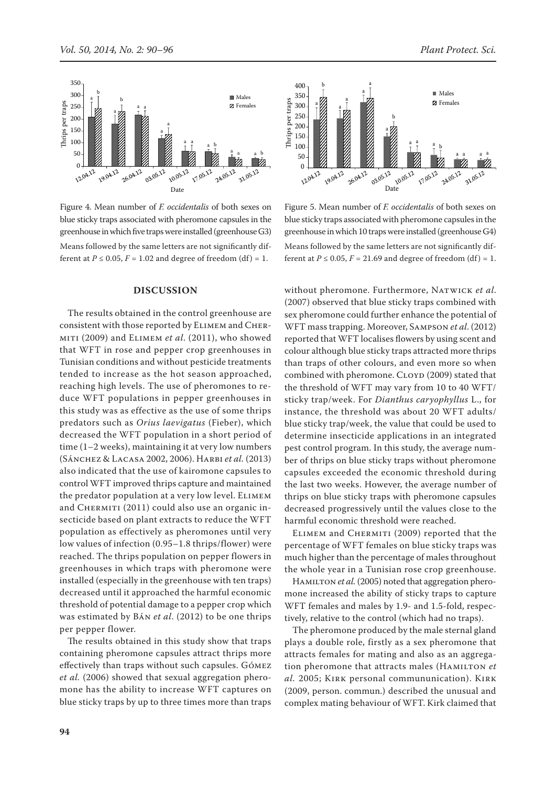

Figure 4. Mean number of *F. occidentalis* of both sexes on blue sticky traps associated with pheromone capsules in the greenhouse in which five traps were installed (greenhouse G3) Means followed by the same letters are not significantly different at  $P \le 0.05$ ,  $F = 1.02$  and degree of freedom (df) = 1.

#### **Discussion**

The results obtained in the control greenhouse are consistent with those reported by Elimem and Chermiti (2009) and Elimem *et al*. (2011), who showed that WFT in rose and pepper crop greenhouses in Tunisian conditions and without pesticide treatments tended to increase as the hot season approached, reaching high levels. The use of pheromones to reduce WFT populations in pepper greenhouses in this study was as effective as the use of some thrips predators such as *Orius laevigatus* (Fieber), which decreased the WFT population in a short period of time (1–2 weeks), maintaining it at very low numbers (Sánchez & Lacasa 2002, 2006). Harbi *et al.* (2013) also indicated that the use of kairomone capsules to control WFT improved thrips capture and maintained the predator population at a very low level. Elimem and CHERMITI (2011) could also use an organic insecticide based on plant extracts to reduce the WFT population as effectively as pheromones until very low values of infection (0.95–1.8 thrips/flower) were reached. The thrips population on pepper flowers in greenhouses in which traps with pheromone were installed (especially in the greenhouse with ten traps) decreased until it approached the harmful economic threshold of potential damage to a pepper crop which was estimated by Bán *et al*. (2012) to be one thrips per pepper flower.

The results obtained in this study show that traps containing pheromone capsules attract thrips more effectively than traps without such capsules. Gómez *et al.* (2006) showed that sexual aggregation pheromone has the ability to increase WFT captures on blue sticky traps by up to three times more than traps



Figure 5. Mean number of *F. occidentalis* of both sexes on blue sticky traps associated with pheromone capsules in the greenhouse in which 10 traps were installed (greenhouse G4) Means followed by the same letters are not significantly different at  $P \le 0.05$ ,  $F = 21.69$  and degree of freedom (df) = 1.

without pheromone. Furthermore, Natwick *et al*. (2007) observed that blue sticky traps combined with sex pheromone could further enhance the potential of WFT mass trapping. Moreover, Sampson *et al*. (2012) reported that WFT localises flowers by using scent and colour although blue sticky traps attracted more thrips than traps of other colours, and even more so when combined with pheromone. CLOYD (2009) stated that the threshold of WFT may vary from 10 to 40 WFT/ sticky trap/week. For *Dianthus caryophyllus* L., for instance, the threshold was about 20 WFT adults/ blue sticky trap/week, the value that could be used to determine insecticide applications in an integrated pest control program. In this study, the average number of thrips on blue sticky traps without pheromone capsules exceeded the economic threshold during the last two weeks. However, the average number of thrips on blue sticky traps with pheromone capsules decreased progressively until the values close to the harmful economic threshold were reached.

ELIMEM and CHERMITI (2009) reported that the percentage of WFT females on blue sticky traps was much higher than the percentage of males throughout the whole year in a Tunisian rose crop greenhouse.

HAMILTON *et al.* (2005) noted that aggregation pheromone increased the ability of sticky traps to capture WFT females and males by 1.9- and 1.5-fold, respectively, relative to the control (which had no traps).

The pheromone produced by the male sternal gland plays a double role, firstly as a sex pheromone that attracts females for mating and also as an aggregation pheromone that attracts males (HAMILTON et *al.* 2005; Kirk personal commununication). Kirk (2009, person. commun.) described the unusual and complex mating behaviour of WFT. Kirk claimed that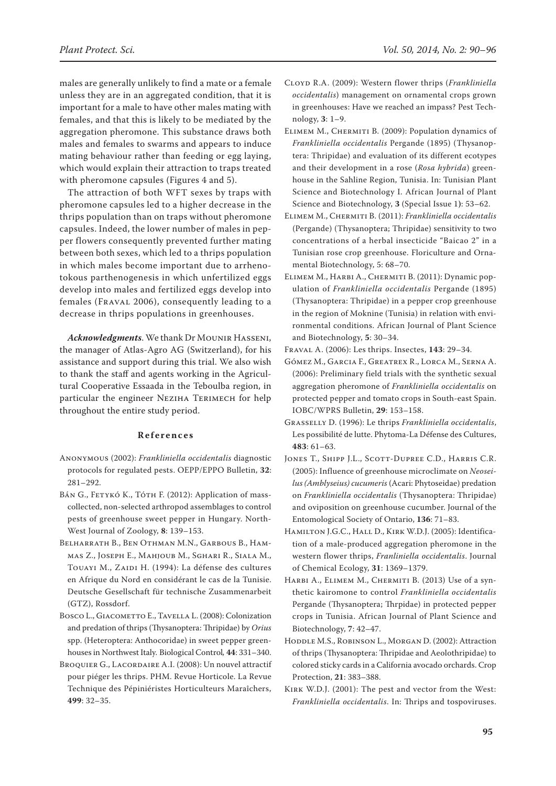males are generally unlikely to find a mate or a female unless they are in an aggregated condition, that it is important for a male to have other males mating with females, and that this is likely to be mediated by the aggregation pheromone. This substance draws both males and females to swarms and appears to induce mating behaviour rather than feeding or egg laying, which would explain their attraction to traps treated with pheromone capsules (Figures 4 and 5).

The attraction of both WFT sexes by traps with pheromone capsules led to a higher decrease in the thrips population than on traps without pheromone capsules. Indeed, the lower number of males in pepper flowers consequently prevented further mating between both sexes, which led to a thrips population in which males become important due to arrhenotokous parthenogenesis in which unfertilized eggs develop into males and fertilized eggs develop into females (Fraval 2006), consequently leading to a decrease in thrips populations in greenhouses.

*Acknowledgments*. We thank Dr Mounir Hasseni, the manager of Atlas-Agro AG (Switzerland), for his assistance and support during this trial. We also wish to thank the staff and agents working in the Agricultural Cooperative Essaada in the Teboulba region, in particular the engineer NEZIHA TERIMECH for help throughout the entire study period.

## **References**

- Anonymous (2002): *Frankliniella occidentalis* diagnostic protocols for regulated pests. OEPP/EPPO Bulletin, **32**: 281–292.
- Bán G., Fetykó K., Tóth F. (2012): Application of masscollected, non-selected arthropod assemblages to control pests of greenhouse sweet pepper in Hungary. North-West Journal of Zoology, **8**: 139–153.
- Belharrath B., Ben Othman M.N., Garbous B., Hammas Z., Joseph E., Mahjoub M., Sghari R., Siala M., Touayi M., Zaidi H. (1994): La défense des cultures en Afrique du Nord en considérant le cas de la Tunisie. Deutsche Gesellschaft für technische Zusammenarbeit (GTZ), Rossdorf.
- BOSCO L., GIACOMETTO E., TAVELLA L. (2008): Colonization and predation of thrips (Thysanoptera: Thripidae) by *Orius* spp. (Heteroptera: Anthocoridae) in sweet pepper greenhouses in Northwest Italy*.* Biological Control*,* **44**: 331–340.
- Broquier G., Lacordaire A.I. (2008): Un nouvel attractif pour piéger les thrips. PHM. Revue Horticole. La Revue Technique des Pépiniéristes Horticulteurs Maraîchers, **499**: 32–35.
- Cloyd R.A. (2009): Western flower thrips (*Frankliniella occidentalis*) management on ornamental crops grown in greenhouses: Have we reached an impass? Pest Technology, **3**: 1–9.
- Elimem M., Chermiti B. (2009): Population dynamics of *Frankliniella occidentalis* Pergande (1895) (Thysanoptera: Thripidae) and evaluation of its different ecotypes and their development in a rose (*Rosa hybrida*) greenhouse in the Sahline Region, Tunisia. In: Tunisian Plant Science and Biotechnology I. African Journal of Plant Science and Biotechnology, **3** (Special Issue 1**)**: 53–62.
- Elimem M., Chermiti B. (2011): *Frankliniella occidentalis* (Pergande) (Thysanoptera; Thripidae) sensitivity to two concentrations of a herbal insecticide "Baicao 2" in a Tunisian rose crop greenhouse. Floriculture and Ornamental Biotechnology, 5: 68–70.
- Elimem M., Harbi A., Chermiti B. (2011): Dynamic population of *Frankliniella occidentalis* Pergande (1895) (Thysanoptera: Thripidae) in a pepper crop greenhouse in the region of Moknine (Tunisia) in relation with environmental conditions. African Journal of Plant Science and Biotechnology, **5**: 30–34.
- Fraval A. (2006): Les thrips. Insectes, **143**: 29–34.
- Gómez M., Garcia F., Greatrex R., Lorca M., Serna A. (2006): Preliminary field trials with the synthetic sexual aggregation pheromone of *Frankliniella occidentalis* on protected pepper and tomato crops in South-east Spain. IOBC/WPRS Bulletin, **29**: 153–158.
- Grasselly D. (1996): Le thrips *Frankliniella occidentalis*, Les possibilité de lutte. Phytoma-La Défense des Cultures, **483**: 61–63.
- JONES T., SHIPP J.L., SCOTT-DUPREE C.D., HARRIS C.R. (2005): Influence of greenhouse microclimate on *Neoseilus (Amblyseius) cucumeris* (Acari: Phytoseidae) predation on *Frankliniella occidentalis* (Thysanoptera: Thripidae) and oviposition on greenhouse cucumber. Journal of the Entomological Society of Ontario, **136**: 71–83.
- HAMILTON J.G.C., HALL D., KIRK W.D.J. (2005): Identification of a male-produced aggregation pheromone in the western flower thrips, *Franliniella occidentalis*. Journal of Chemical Ecology, **31**: 1369–1379.
- HARBI A., ELIMEM M., CHERMITI B. (2013) Use of a synthetic kairomone to control *Frankliniella occidentalis*  Pergande (Thysanoptera; Thrpidae) in protected pepper crops in Tunisia. African Journal of Plant Science and Biotechnology, **7**: 42–47.
- HODDLE M.S., ROBINSON L., MORGAN D. (2002): Attraction of thrips (Thysanoptera: Thripidae and Aeolothripidae) to colored sticky cards in a California avocado orchards. Crop Protection, **21**: 383–388.
- Kirk W.D.J. (2001): The pest and vector from the West: *Frankliniella occidentalis*. In: Thrips and tospoviruses.